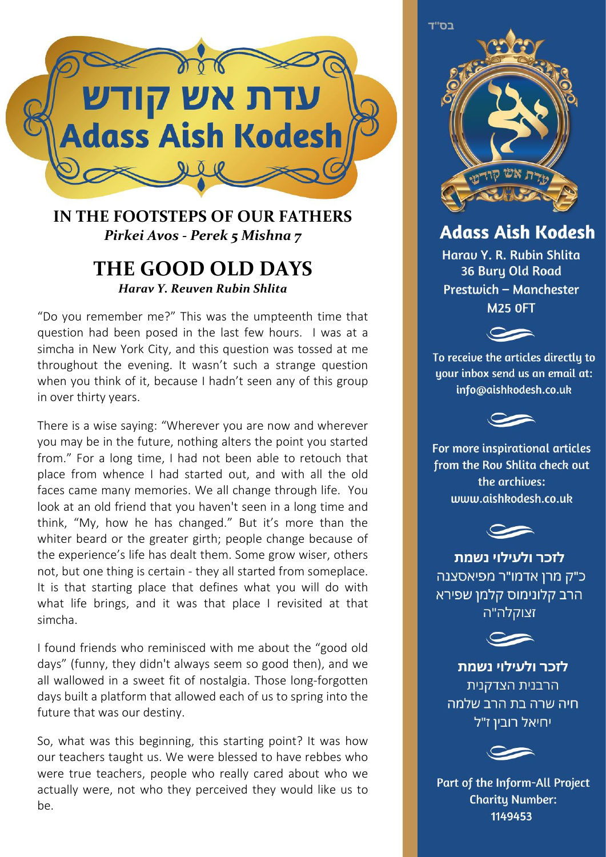

## **IN THE FOOTSTEPS OF OUR FATHERS** *Pirkei Avos - Perek 5 Mishna 7*

## **THE GOOD OLD DAYS** *Harav Y. Reuven Rubin Shlita*

"Do you remember me?" This was the umpteenth time that question had been posed in the last few hours. I was at a simcha in New York City, and this question was tossed at me throughout the evening. It wasn't such a strange question when you think of it, because I hadn't seen any of this group in over thirty years.

There is a wise saying: "Wherever you are now and wherever you may be in the future, nothing alters the point you started from." For a long time, I had not been able to retouch that place from whence I had started out, and with all the old faces came many memories. We all change through life. You look at an old friend that you haven't seen in a long time and think, "My, how he has changed." But it's more than the whiter beard or the greater girth; people change because of the experience's life has dealt them. Some grow wiser, others not, but one thing is certain - they all started from someplace. It is that starting place that defines what you will do with what life brings, and it was that place I revisited at that simcha.

I found friends who reminisced with me about the "good old days" (funny, they didn't always seem so good then), and we all wallowed in a sweet fit of nostalgia. Those long-forgotten days built a platform that allowed each of us to spring into the future that was our destiny.

So, what was this beginning, this starting point? It was how our teachers taught us. We were blessed to have rebbes who were true teachers, people who really cared about who we actually were, not who they perceived they would like us to be.

בס"ד

**Adass Aish Kodesh** 

Harau Y. R. Rubin Shlita 36 Bury Old Road Prestwich - Manchester **M25 OFT** 



To receive the articles directly to uour inbox send us an email at: info@aishkodesh.co.uk



For more inspirational articles from the Rou Shlita check out the archives: www.aishkodesh.co.uk



לזכר ולעילוי נשמת כ"ק מרן אדמו"ר מפיאסצנה הרב קלונימוס קלמן שפירא זצוקלה"ה



לזכר ולעילוי נשמת הרבנית הצדקנית חיה שרה בת הרב שלמה יחיאל רובין ז"ל



Part of the Inform-All Project **Charity Number:** 1149453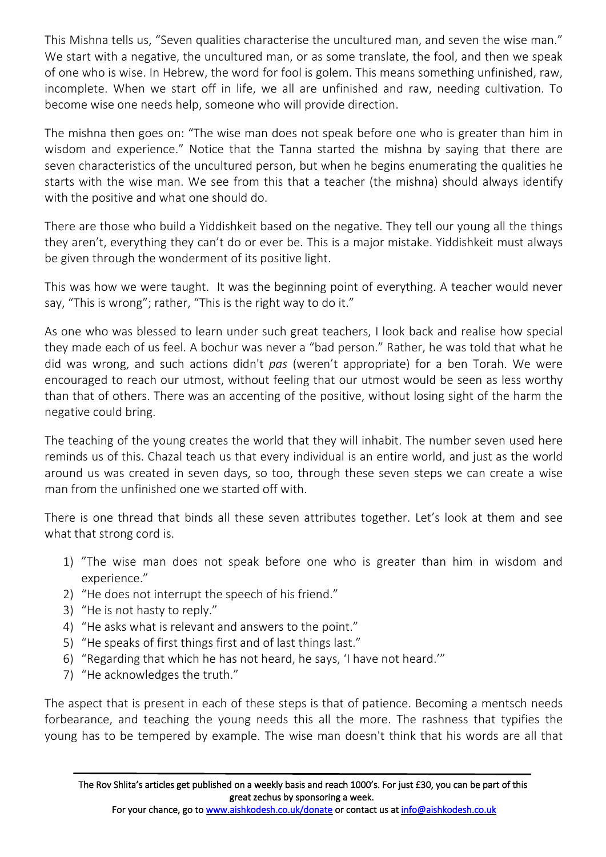This Mishna tells us, "Seven qualities characterise the uncultured man, and seven the wise man." We start with a negative, the uncultured man, or as some translate, the fool, and then we speak of one who is wise. In Hebrew, the word for fool is golem. This means something unfinished, raw, incomplete. When we start off in life, we all are unfinished and raw, needing cultivation. To become wise one needs help, someone who will provide direction.

The mishna then goes on: "The wise man does not speak before one who is greater than him in wisdom and experience." Notice that the Tanna started the mishna by saying that there are seven characteristics of the uncultured person, but when he begins enumerating the qualities he starts with the wise man. We see from this that a teacher (the mishna) should always identify with the positive and what one should do.

There are those who build a Yiddishkeit based on the negative. They tell our young all the things they aren't, everything they can't do or ever be. This is a major mistake. Yiddishkeit must always be given through the wonderment of its positive light.

This was how we were taught. It was the beginning point of everything. A teacher would never say, "This is wrong"; rather, "This is the right way to do it."

As one who was blessed to learn under such great teachers, I look back and realise how special they made each of us feel. A bochur was never a "bad person." Rather, he was told that what he did was wrong, and such actions didn't *pas* (weren't appropriate) for a ben Torah. We were encouraged to reach our utmost, without feeling that our utmost would be seen as less worthy than that of others. There was an accenting of the positive, without losing sight of the harm the negative could bring.

The teaching of the young creates the world that they will inhabit. The number seven used here reminds us of this. Chazal teach us that every individual is an entire world, and just as the world around us was created in seven days, so too, through these seven steps we can create a wise man from the unfinished one we started off with.

There is one thread that binds all these seven attributes together. Let's look at them and see what that strong cord is.

- 1) "The wise man does not speak before one who is greater than him in wisdom and experience."
- 2) "He does not interrupt the speech of his friend."
- 3) "He is not hasty to reply."
- 4) "He asks what is relevant and answers to the point."
- 5) "He speaks of first things first and of last things last."
- 6) "Regarding that which he has not heard, he says, 'I have not heard.'"
- 7) "He acknowledges the truth."

The aspect that is present in each of these steps is that of patience. Becoming a mentsch needs forbearance, and teaching the young needs this all the more. The rashness that typifies the young has to be tempered by example. The wise man doesn't think that his words are all that